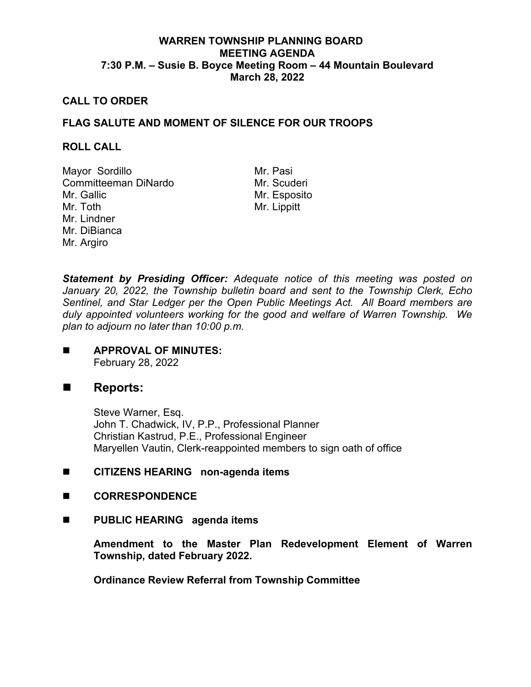# **WARREN TOWNSHIP PLANNING BOARD MEETING AGENDA 7:30 P.M. – Susie B. Boyce Meeting Room – 44 Mountain Boulevard March 28, 2022**

## **CALL TO ORDER**

## **FLAG SALUTE AND MOMENT OF SILENCE FOR OUR TROOPS**

#### **ROLL CALL**

Mayor Sordillo Mr. Pasi Committeeman DiNardo Mr. Gallic Mr. Toth Mr. Lindner Mr. DiBianca Mr. Argiro

Mr. Esposito Mr. Lippitt

*Statement by Presiding Officer: Adequate notice of this meeting was posted on January 20, 2022, the Township bulletin board and sent to the Township Clerk, Echo Sentinel, and Star Ledger per the Open Public Meetings Act. All Board members are duly appointed volunteers working for the good and welfare of Warren Township. We plan to adjourn no later than 10:00 p.m.*

**APPROVAL OF MINUTES:** February 28, 2022

# ■ Reports:

Steve Warner, Esq. John T. Chadwick, IV, P.P., Professional Planner Christian Kastrud, P.E., Professional Engineer Maryellen Vautin, Clerk-reappointed members to sign oath of office

## **EXECUTE CITIZENS HEARING non-agenda items**

- **CORRESPONDENCE**
- **PUBLIC HEARING agenda items**

**Amendment to the Master Plan Redevelopment Element of Warren Township, dated February 2022.** 

**Ordinance Review Referral from Township Committee**